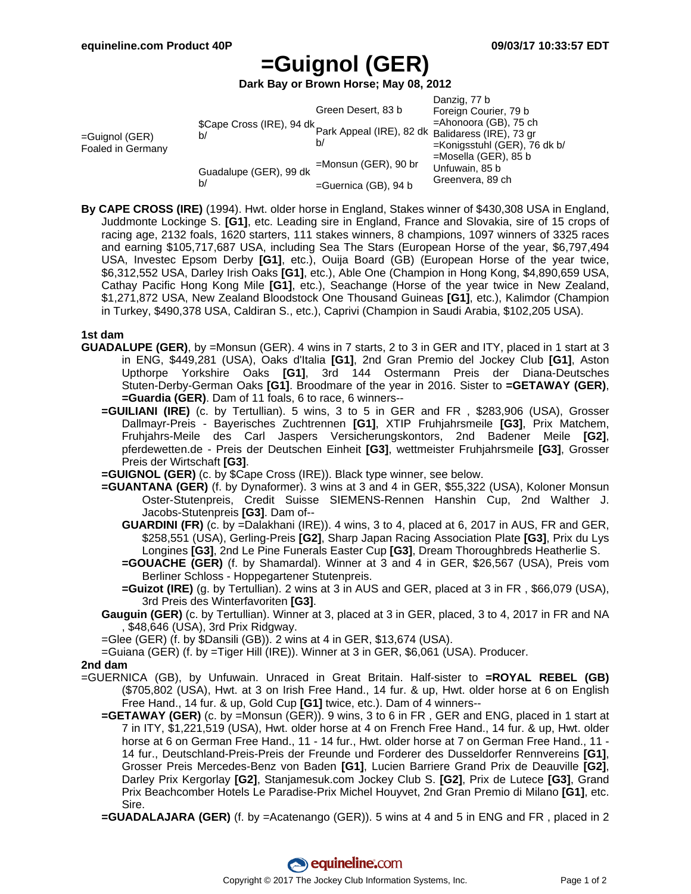# **=Guignol (GER)**

**Dark Bay or Brown Horse; May 08, 2012**

|                                        |                                                                               |                         | Danzig, 77 b                    |
|----------------------------------------|-------------------------------------------------------------------------------|-------------------------|---------------------------------|
| $=$ Guignol (GER)<br>Foaled in Germany | \$Cape Cross (IRE), 94 dk<br>Park Appeal (IRE), 82 dk Balidaress (IRE), 73 gr | Green Desert, 83 b      | Foreign Courier, 79 b           |
|                                        |                                                                               |                         |                                 |
|                                        |                                                                               | b/                      |                                 |
|                                        |                                                                               |                         | $=$ Konigsstuhl (GER), 76 dk b/ |
|                                        | Guadalupe (GER), 99 dk<br>b/                                                  | $=$ Monsun (GER), 90 br | $=$ Mosella (GER), 85 b         |
|                                        |                                                                               |                         | Unfuwain, 85 b                  |
|                                        |                                                                               | $=$ Guernica (GB), 94 b | Greenvera, 89 ch                |

**By CAPE CROSS (IRE)** (1994). Hwt. older horse in England, Stakes winner of \$430,308 USA in England, Juddmonte Lockinge S. **[G1]**, etc. Leading sire in England, France and Slovakia, sire of 15 crops of racing age, 2132 foals, 1620 starters, 111 stakes winners, 8 champions, 1097 winners of 3325 races and earning \$105,717,687 USA, including Sea The Stars (European Horse of the year, \$6,797,494 USA, Investec Epsom Derby **[G1]**, etc.), Ouija Board (GB) (European Horse of the year twice, \$6,312,552 USA, Darley Irish Oaks **[G1]**, etc.), Able One (Champion in Hong Kong, \$4,890,659 USA, Cathay Pacific Hong Kong Mile **[G1]**, etc.), Seachange (Horse of the year twice in New Zealand, \$1,271,872 USA, New Zealand Bloodstock One Thousand Guineas **[G1]**, etc.), Kalimdor (Champion in Turkey, \$490,378 USA, Caldiran S., etc.), Caprivi (Champion in Saudi Arabia, \$102,205 USA).

### **1st dam**

- **GUADALUPE (GER)**, by =Monsun (GER). 4 wins in 7 starts, 2 to 3 in GER and ITY, placed in 1 start at 3 in ENG, \$449,281 (USA), Oaks d'Italia **[G1]**, 2nd Gran Premio del Jockey Club **[G1]**, Aston Upthorpe Yorkshire Oaks **[G1]**, 3rd 144 Ostermann Preis der Diana-Deutsches Stuten-Derby-German Oaks **[G1]**. Broodmare of the year in 2016. Sister to **=GETAWAY (GER)**, **=Guardia (GER)**. Dam of 11 foals, 6 to race, 6 winners--
	- **=GUILIANI (IRE)** (c. by Tertullian). 5 wins, 3 to 5 in GER and FR , \$283,906 (USA), Grosser Dallmayr-Preis - Bayerisches Zuchtrennen **[G1]**, XTIP Fruhjahrsmeile **[G3]**, Prix Matchem, Fruhjahrs-Meile des Carl Jaspers Versicherungskontors, 2nd Badener Meile **[G2]**, pferdewetten.de - Preis der Deutschen Einheit **[G3]**, wettmeister Fruhjahrsmeile **[G3]**, Grosser Preis der Wirtschaft **[G3]**.
	- **=GUIGNOL (GER)** (c. by \$Cape Cross (IRE)). Black type winner, see below.
	- **=GUANTANA (GER)** (f. by Dynaformer). 3 wins at 3 and 4 in GER, \$55,322 (USA), Koloner Monsun Oster-Stutenpreis, Credit Suisse SIEMENS-Rennen Hanshin Cup, 2nd Walther J. Jacobs-Stutenpreis **[G3]**. Dam of--
		- **GUARDINI (FR)** (c. by =Dalakhani (IRE)). 4 wins, 3 to 4, placed at 6, 2017 in AUS, FR and GER, \$258,551 (USA), Gerling-Preis **[G2]**, Sharp Japan Racing Association Plate **[G3]**, Prix du Lys Longines **[G3]**, 2nd Le Pine Funerals Easter Cup **[G3]**, Dream Thoroughbreds Heatherlie S.
		- **=GOUACHE (GER)** (f. by Shamardal). Winner at 3 and 4 in GER, \$26,567 (USA), Preis vom Berliner Schloss - Hoppegartener Stutenpreis.
		- **=Guizot (IRE)** (g. by Tertullian). 2 wins at 3 in AUS and GER, placed at 3 in FR , \$66,079 (USA), 3rd Preis des Winterfavoriten **[G3]**.
	- **Gauguin (GER)** (c. by Tertullian). Winner at 3, placed at 3 in GER, placed, 3 to 4, 2017 in FR and NA , \$48,646 (USA), 3rd Prix Ridgway.
	- =Glee (GER) (f. by \$Dansili (GB)). 2 wins at 4 in GER, \$13,674 (USA).
	- =Guiana (GER) (f. by =Tiger Hill (IRE)). Winner at 3 in GER, \$6,061 (USA). Producer.

### **2nd dam**

- =GUERNICA (GB), by Unfuwain. Unraced in Great Britain. Half-sister to **=ROYAL REBEL (GB)** (\$705,802 (USA), Hwt. at 3 on Irish Free Hand., 14 fur. & up, Hwt. older horse at 6 on English Free Hand., 14 fur. & up, Gold Cup **[G1]** twice, etc.). Dam of 4 winners--
	- **=GETAWAY (GER)** (c. by =Monsun (GER)). 9 wins, 3 to 6 in FR , GER and ENG, placed in 1 start at 7 in ITY, \$1,221,519 (USA), Hwt. older horse at 4 on French Free Hand., 14 fur. & up, Hwt. older horse at 6 on German Free Hand., 11 - 14 fur., Hwt. older horse at 7 on German Free Hand., 11 - 14 fur., Deutschland-Preis-Preis der Freunde und Forderer des Dusseldorfer Rennvereins **[G1]**, Grosser Preis Mercedes-Benz von Baden **[G1]**, Lucien Barriere Grand Prix de Deauville **[G2]**, Darley Prix Kergorlay **[G2]**, Stanjamesuk.com Jockey Club S. **[G2]**, Prix de Lutece **[G3]**, Grand Prix Beachcomber Hotels Le Paradise-Prix Michel Houyvet, 2nd Gran Premio di Milano **[G1]**, etc. Sire.
	- **=GUADALAJARA (GER)** (f. by =Acatenango (GER)). 5 wins at 4 and 5 in ENG and FR , placed in 2